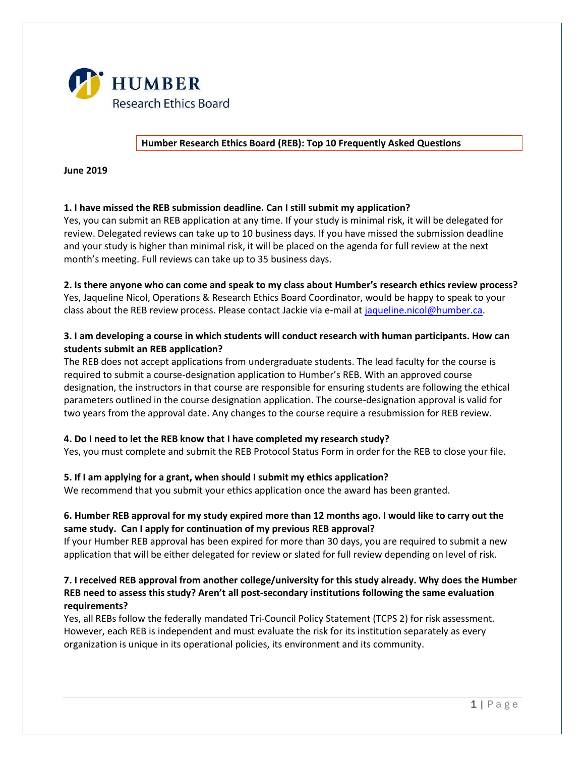

**Humber Research Ethics Board (REB): Top 10 Frequently Asked Questions**

**June 2019**

# **1. I have missed the REB submission deadline. Can I still submit my application?**

Yes, you can submit an REB application at any time. If your study is minimal risk, it will be delegated for review. Delegated reviews can take up to 10 business days. If you have missed the submission deadline and your study is higher than minimal risk, it will be placed on the agenda for full review at the next month's meeting. Full reviews can take up to 35 business days.

#### **2. Is there anyone who can come and speak to my class about Humber's research ethics review process?**

Yes, Jaqueline Nicol, Operations & Research Ethics Board Coordinator, would be happy to speak to your class about the REB review process. Please contact Jackie via e-mail at [jaqueline.nicol@humber.ca.](mailto:jaqueline.nicol@humber.ca)

# **3. I am developing a course in which students will conduct research with human participants. How can students submit an REB application?**

The REB does not accept applications from undergraduate students. The lead faculty for the course is required to submit a course-designation application to Humber's REB. With an approved course designation, the instructors in that course are responsible for ensuring students are following the ethical parameters outlined in the course designation application. The course-designation approval is valid for two years from the approval date. Any changes to the course require a resubmission for REB review.

### **4. Do I need to let the REB know that I have completed my research study?**

Yes, you must complete and submit the REB Protocol Status Form in order for the REB to close your file.

### **5. If I am applying for a grant, when should I submit my ethics application?**

We recommend that you submit your ethics application once the award has been granted.

# **6. Humber REB approval for my study expired more than 12 months ago. I would like to carry out the same study. Can I apply for continuation of my previous REB approval?**

If your Humber REB approval has been expired for more than 30 days, you are required to submit a new application that will be either delegated for review or slated for full review depending on level of risk.

# **7. I received REB approval from another college/university for this study already. Why does the Humber REB need to assess this study? Aren't all post-secondary institutions following the same evaluation requirements?**

Yes, all REBs follow the federally mandated Tri-Council Policy Statement (TCPS 2) for risk assessment. However, each REB is independent and must evaluate the risk for its institution separately as every organization is unique in its operational policies, its environment and its community.